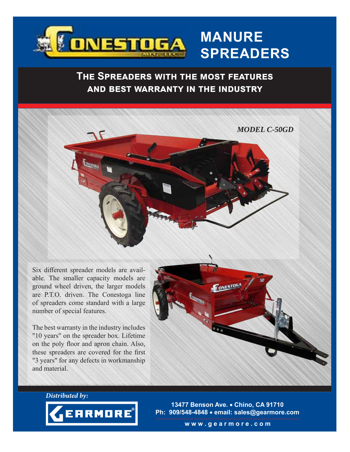

# **MANURE SPREADERS**

### **THE SPREADERS WITH THE MOST FEATURES AND BEST WARRANTY IN THE INDUSTRY**



Six different spreader models are available. The smaller capacity models are ground wheel driven, the larger models are P.T.O. driven. The Conestoga line of spreaders come standard with a large number of special features.

The best warranty in the industry includes "10 years" on the spreader box. Lifetime on the poly floor and apron chain. Also, these spreaders are covered for the first "3 years" for any defects in workmanship and material.



**Distributed by:**



**13477 Benson Ave. Chino, CA 91710 Ph: 909/548-4848 email: sales@gearmore.com**

**w w w . g e a r m o r e . c o m**